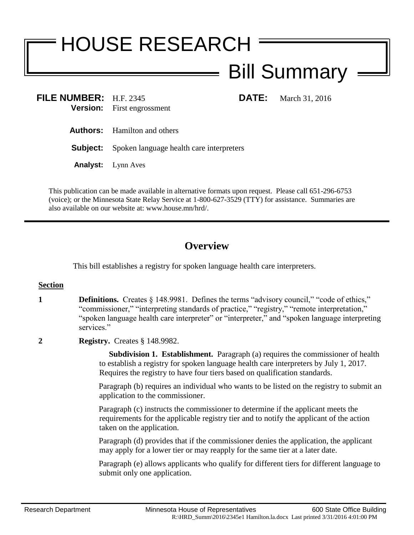# HOUSE RESEARCH Bill Summary

**FILE NUMBER:** H.F. 2345 **DATE:** March 31, 2016 **Version:** First engrossment

**Authors:** Hamilton and others

**Subject:** Spoken language health care interpreters

**Analyst:** Lynn Aves

This publication can be made available in alternative formats upon request. Please call 651-296-6753 (voice); or the Minnesota State Relay Service at 1-800-627-3529 (TTY) for assistance. Summaries are also available on our website at: www.house.mn/hrd/.

# **Overview**

This bill establishes a registry for spoken language health care interpreters.

# **Section**

- **1 Definitions.** Creates § 148.9981. Defines the terms "advisory council," "code of ethics," "commissioner," "interpreting standards of practice," "registry," "remote interpretation," "spoken language health care interpreter" or "interpreter," and "spoken language interpreting services."
- **2 Registry.** Creates § 148.9982.

 **Subdivision 1. Establishment.** Paragraph (a) requires the commissioner of health to establish a registry for spoken language health care interpreters by July 1, 2017. Requires the registry to have four tiers based on qualification standards.

Paragraph (b) requires an individual who wants to be listed on the registry to submit an application to the commissioner.

Paragraph (c) instructs the commissioner to determine if the applicant meets the requirements for the applicable registry tier and to notify the applicant of the action taken on the application.

Paragraph (d) provides that if the commissioner denies the application, the applicant may apply for a lower tier or may reapply for the same tier at a later date.

Paragraph (e) allows applicants who qualify for different tiers for different language to submit only one application.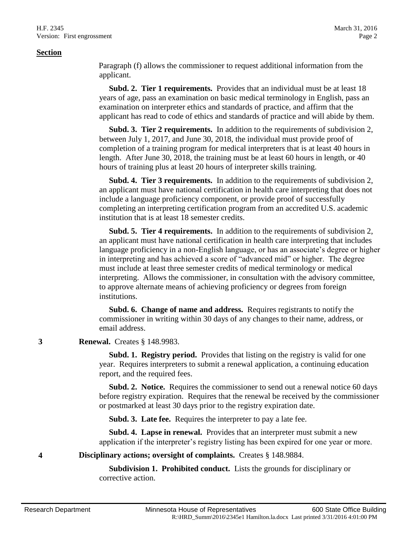#### **Section**

Paragraph (f) allows the commissioner to request additional information from the applicant.

 **Subd. 2. Tier 1 requirements.** Provides that an individual must be at least 18 years of age, pass an examination on basic medical terminology in English, pass an examination on interpreter ethics and standards of practice, and affirm that the applicant has read to code of ethics and standards of practice and will abide by them.

 **Subd. 3. Tier 2 requirements.** In addition to the requirements of subdivision 2, between July 1, 2017, and June 30, 2018, the individual must provide proof of completion of a training program for medical interpreters that is at least 40 hours in length. After June 30, 2018, the training must be at least 60 hours in length, or 40 hours of training plus at least 20 hours of interpreter skills training.

 **Subd. 4. Tier 3 requirements.** In addition to the requirements of subdivision 2, an applicant must have national certification in health care interpreting that does not include a language proficiency component, or provide proof of successfully completing an interpreting certification program from an accredited U.S. academic institution that is at least 18 semester credits.

 **Subd. 5. Tier 4 requirements.** In addition to the requirements of subdivision 2, an applicant must have national certification in health care interpreting that includes language proficiency in a non-English language, or has an associate's degree or higher in interpreting and has achieved a score of "advanced mid" or higher. The degree must include at least three semester credits of medical terminology or medical interpreting. Allows the commissioner, in consultation with the advisory committee, to approve alternate means of achieving proficiency or degrees from foreign institutions.

 **Subd. 6. Change of name and address.** Requires registrants to notify the commissioner in writing within 30 days of any changes to their name, address, or email address.

## **3 Renewal.** Creates § 148.9983.

 **Subd. 1. Registry period.** Provides that listing on the registry is valid for one year. Requires interpreters to submit a renewal application, a continuing education report, and the required fees.

 **Subd. 2. Notice.** Requires the commissioner to send out a renewal notice 60 days before registry expiration. Requires that the renewal be received by the commissioner or postmarked at least 30 days prior to the registry expiration date.

**Subd. 3. Late fee.** Requires the interpreter to pay a late fee.

 **Subd. 4. Lapse in renewal.** Provides that an interpreter must submit a new application if the interpreter's registry listing has been expired for one year or more.

**4 Disciplinary actions; oversight of complaints.** Creates § 148.9884.

 **Subdivision 1. Prohibited conduct.** Lists the grounds for disciplinary or corrective action.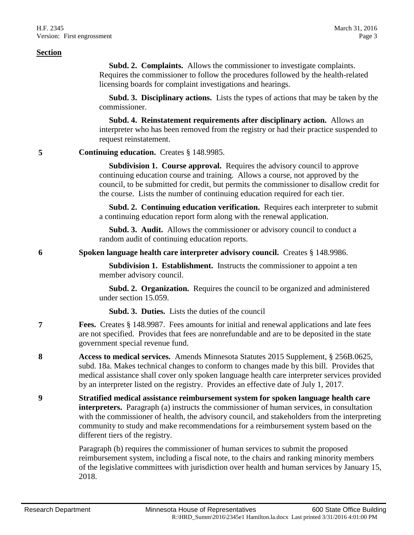#### **Section**

 **Subd. 2. Complaints.** Allows the commissioner to investigate complaints. Requires the commissioner to follow the procedures followed by the health-related licensing boards for complaint investigations and hearings.

 **Subd. 3. Disciplinary actions.** Lists the types of actions that may be taken by the commissioner.

 **Subd. 4. Reinstatement requirements after disciplinary action.** Allows an interpreter who has been removed from the registry or had their practice suspended to request reinstatement.

**5 Continuing education.** Creates § 148.9985.

 **Subdivision 1. Course approval.** Requires the advisory council to approve continuing education course and training. Allows a course, not approved by the council, to be submitted for credit, but permits the commissioner to disallow credit for the course. Lists the number of continuing education required for each tier.

 **Subd. 2. Continuing education verification.** Requires each interpreter to submit a continuing education report form along with the renewal application.

 **Subd. 3. Audit.** Allows the commissioner or advisory council to conduct a random audit of continuing education reports.

**6 Spoken language health care interpreter advisory council.** Creates § 148.9986.

 **Subdivision 1. Establishment.** Instructs the commissioner to appoint a ten member advisory council.

 **Subd. 2. Organization.** Requires the council to be organized and administered under section 15.059.

**Subd. 3. Duties.** Lists the duties of the council

- **7 Fees.** Creates § 148.9987. Fees amounts for initial and renewal applications and late fees are not specified. Provides that fees are nonrefundable and are to be deposited in the state government special revenue fund.
- **8 Access to medical services.** Amends Minnesota Statutes 2015 Supplement, § 256B.0625, subd. 18a. Makes technical changes to conform to changes made by this bill. Provides that medical assistance shall cover only spoken language health care interpreter services provided by an interpreter listed on the registry. Provides an effective date of July 1, 2017.
- **9 Stratified medical assistance reimbursement system for spoken language health care interpreters.** Paragraph (a) instructs the commissioner of human services, in consultation with the commissioner of health, the advisory council, and stakeholders from the interpreting community to study and make recommendations for a reimbursement system based on the different tiers of the registry.

Paragraph (b) requires the commissioner of human services to submit the proposed reimbursement system, including a fiscal note, to the chairs and ranking minority members of the legislative committees with jurisdiction over health and human services by January 15, 2018.